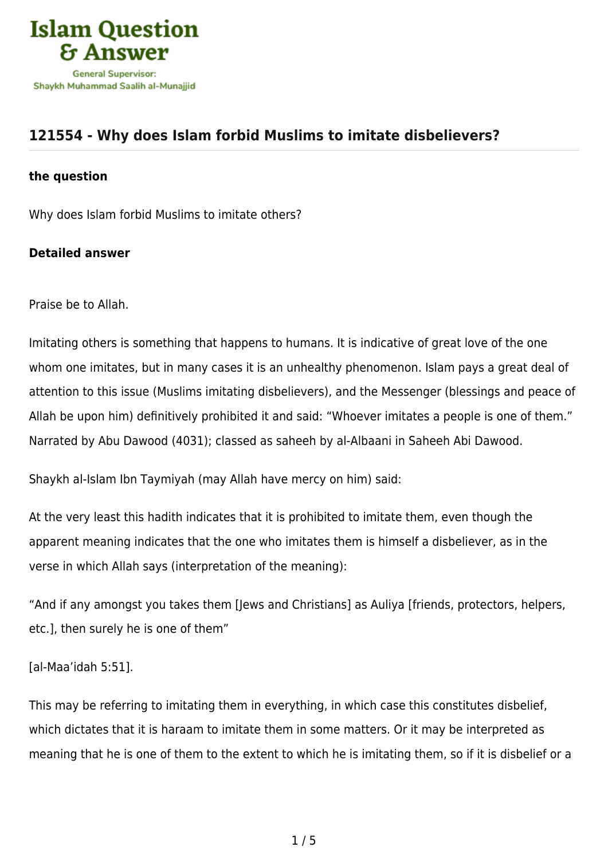

## **[121554 - Why does Islam forbid Muslims to imitate disbelievers?](https://islamqa.com/en/answers/121554/why-does-islam-forbid-muslims-to-imitate-disbelievers)**

## **the question**

Why does Islam forbid Muslims to imitate others?

## **Detailed answer**

Praise be to Allah.

Imitating others is something that happens to humans. It is indicative of great love of the one whom one imitates, but in many cases it is an unhealthy phenomenon. Islam pays a great deal of attention to this issue (Muslims imitating disbelievers), and the Messenger (blessings and peace of Allah be upon him) definitively prohibited it and said: "Whoever imitates a people is one of them." Narrated by Abu Dawood (4031); classed as saheeh by al-Albaani in Saheeh Abi Dawood.

Shaykh al-Islam Ibn Taymiyah (may Allah have mercy on him) said:

At the very least this hadith indicates that it is prohibited to imitate them, even though the apparent meaning indicates that the one who imitates them is himself a disbeliever, as in the verse in which Allah says (interpretation of the meaning):

"And if any amongst you takes them [Jews and Christians] as Auliya [friends, protectors, helpers, etc.], then surely he is one of them"

[al-Maa'idah 5:51].

This may be referring to imitating them in everything, in which case this constitutes disbelief, which dictates that it is haraam to imitate them in some matters. Or it may be interpreted as meaning that he is one of them to the extent to which he is imitating them, so if it is disbelief or a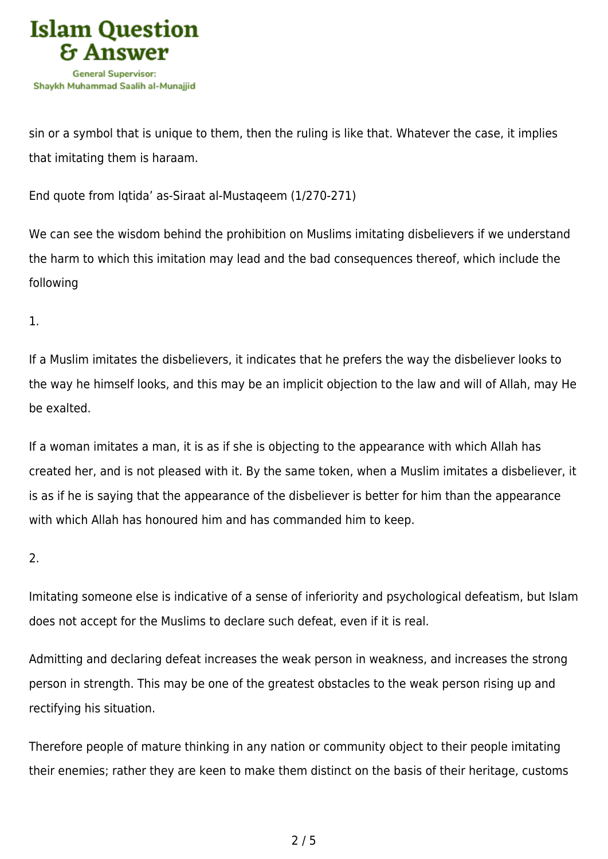

sin or a symbol that is unique to them, then the ruling is like that. Whatever the case, it implies that imitating them is haraam.

End quote from Iqtida' as-Siraat al-Mustaqeem (1/270-271)

We can see the wisdom behind the prohibition on Muslims imitating disbelievers if we understand the harm to which this imitation may lead and the bad consequences thereof, which include the following

1.

If a Muslim imitates the disbelievers, it indicates that he prefers the way the disbeliever looks to the way he himself looks, and this may be an implicit objection to the law and will of Allah, may He be exalted.

If a woman imitates a man, it is as if she is objecting to the appearance with which Allah has created her, and is not pleased with it. By the same token, when a Muslim imitates a disbeliever, it is as if he is saying that the appearance of the disbeliever is better for him than the appearance with which Allah has honoured him and has commanded him to keep.

2.

Imitating someone else is indicative of a sense of inferiority and psychological defeatism, but Islam does not accept for the Muslims to declare such defeat, even if it is real.

Admitting and declaring defeat increases the weak person in weakness, and increases the strong person in strength. This may be one of the greatest obstacles to the weak person rising up and rectifying his situation.

Therefore people of mature thinking in any nation or community object to their people imitating their enemies; rather they are keen to make them distinct on the basis of their heritage, customs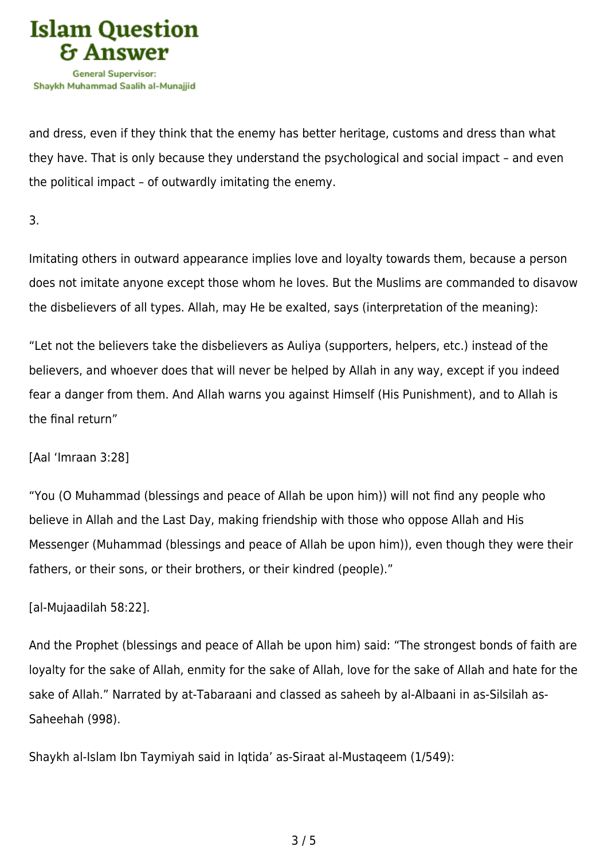

and dress, even if they think that the enemy has better heritage, customs and dress than what they have. That is only because they understand the psychological and social impact – and even the political impact – of outwardly imitating the enemy.

3.

Imitating others in outward appearance implies love and loyalty towards them, because a person does not imitate anyone except those whom he loves. But the Muslims are commanded to disavow the disbelievers of all types. Allah, may He be exalted, says (interpretation of the meaning):

"Let not the believers take the disbelievers as Auliya (supporters, helpers, etc.) instead of the believers, and whoever does that will never be helped by Allah in any way, except if you indeed fear a danger from them. And Allah warns you against Himself (His Punishment), and to Allah is the final return"

[Aal 'Imraan 3:28]

"You (O Muhammad (blessings and peace of Allah be upon him)) will not find any people who believe in Allah and the Last Day, making friendship with those who oppose Allah and His Messenger (Muhammad (blessings and peace of Allah be upon him)), even though they were their fathers, or their sons, or their brothers, or their kindred (people)."

## [al-Mujaadilah 58:22].

And the Prophet (blessings and peace of Allah be upon him) said: "The strongest bonds of faith are loyalty for the sake of Allah, enmity for the sake of Allah, love for the sake of Allah and hate for the sake of Allah." Narrated by at-Tabaraani and classed as saheeh by al-Albaani in as-Silsilah as-Saheehah (998).

Shaykh al-Islam Ibn Taymiyah said in Iqtida' as-Siraat al-Mustaqeem (1/549):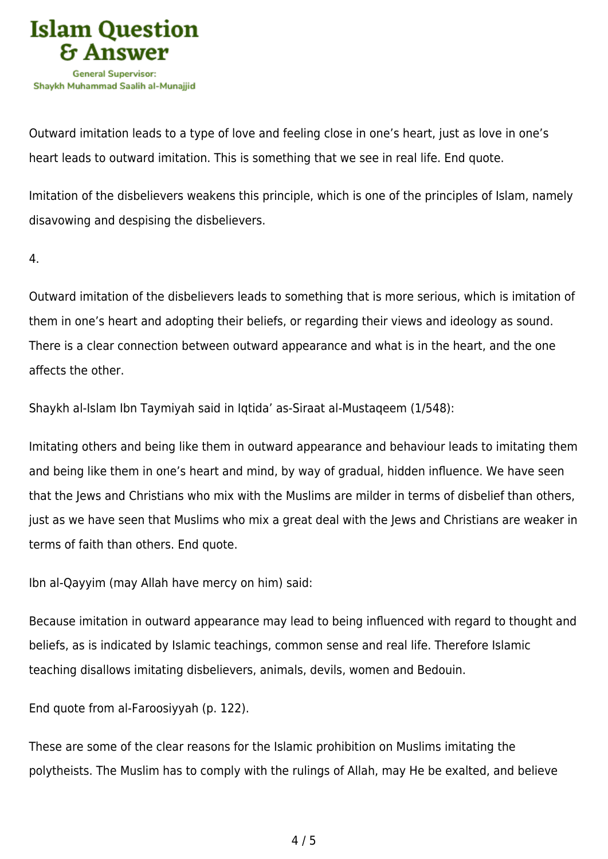

Outward imitation leads to a type of love and feeling close in one's heart, just as love in one's heart leads to outward imitation. This is something that we see in real life. End quote.

Imitation of the disbelievers weakens this principle, which is one of the principles of Islam, namely disavowing and despising the disbelievers.

4.

Outward imitation of the disbelievers leads to something that is more serious, which is imitation of them in one's heart and adopting their beliefs, or regarding their views and ideology as sound. There is a clear connection between outward appearance and what is in the heart, and the one affects the other.

Shaykh al-Islam Ibn Taymiyah said in Iqtida' as-Siraat al-Mustaqeem (1/548):

Imitating others and being like them in outward appearance and behaviour leads to imitating them and being like them in one's heart and mind, by way of gradual, hidden influence. We have seen that the Jews and Christians who mix with the Muslims are milder in terms of disbelief than others, just as we have seen that Muslims who mix a great deal with the Jews and Christians are weaker in terms of faith than others. End quote.

Ibn al-Qayyim (may Allah have mercy on him) said:

Because imitation in outward appearance may lead to being influenced with regard to thought and beliefs, as is indicated by Islamic teachings, common sense and real life. Therefore Islamic teaching disallows imitating disbelievers, animals, devils, women and Bedouin.

End quote from al-Faroosiyyah (p. 122).

These are some of the clear reasons for the Islamic prohibition on Muslims imitating the polytheists. The Muslim has to comply with the rulings of Allah, may He be exalted, and believe